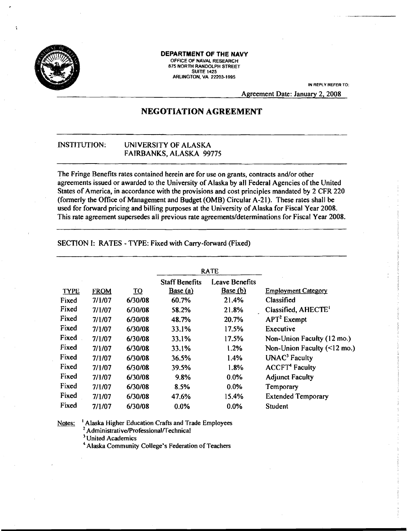

#### **DEPARTMENT OF THE NAVY**

OFFICE OF NAVAL RESEARCH OFFICE OF NAVAL RESEARCH<br>875 NORTH RANDOLPH STREET **SUITE 1425** SUITE 1425<br>ARLINGTON, VA 22203-1995

IN REPLV REFER TO;

Agreement Date: January 2, 2008

# **NEGOTIATION AGREEMENT**

## INSTITUTION: UNIVERSITY OF ALASKA FAIRBANKS, ALASKA 99775

The Fringe Benefits rates contained herein are for use on grants, contracts and/or other agreements issued or awarded to the University of Alaska by all Federal Agencies of the United States of America, in accordance with the provisions and cost principles mandated by 2 CFR 220 (formerly the Office of Management and Budget (OMB) Circular A-21). These rates shall be used for forward pricing and billing purposes at the University of Alaska for Fiscal Year 2008. This rate agreement supersedes all previous rate agreements/determinations for Fiscal Year 2008.

SECTION I: RATES - TYPE: Fixed with Carry-forward (Fixed)

|             |             |                           |                       | <b>RATE</b>    |                                   |
|-------------|-------------|---------------------------|-----------------------|----------------|-----------------------------------|
|             |             |                           | <b>Staff Benefits</b> | Leave Benefits |                                   |
| <b>TYPE</b> | <b>FROM</b> | $\underline{\mathbf{TO}}$ | Base(a)               | Base(b)        | <b>Employment Category</b>        |
| Fixed       | 7/1/07      | 6/30/08                   | 60.7%                 | 21.4%          | Classified                        |
| Fixed       | 7/1/07      | 6/30/08                   | 58.2%                 | 21.8%          | Classified, AHECTE <sup>1</sup>   |
| Fixed       | 7/1/07      | 6/30/08                   | 48.7%                 | 20.7%          | $APT2$ Exempt                     |
| Fixed       | 7/1/07      | 6/30/08                   | 33.1%                 | 17.5%          | Executive                         |
| Fixed       | 7/1/07      | 6/30/08                   | 33.1%                 | 17.5%          | Non-Union Faculty (12 mo.)        |
| Fixed       | 7/1/07      | 6/30/08                   | 33.1%                 | 1.2%           | Non-Union Faculty $($             |
| Fixed       | 7/1/07      | 6/30/08                   | 36.5%                 | 1.4%           | UNAC <sup>3</sup> Faculty         |
| Fixed       | 7/1/07      | 6/30/08                   | 39.5%                 | 1.8%           | <b>ACCFT</b> <sup>4</sup> Faculty |
| Fixed       | 7/1/07      | 6/30/08                   | 9.8%                  | $0.0\%$        | <b>Adjunct Faculty</b>            |
| Fixed       | 7/1/07      | 6/30/08                   | 8.5%                  | 0.0%           | Temporary                         |
| Fixed       | 7/1/07      | 6/30/08                   | 47.6%                 | 15.4%          | <b>Extended Temporary</b>         |
| Fixed       | 7/1/07      | 6/30/08                   | $0.0\%$               | 0.0%           | <b>Student</b>                    |

Notes: <sup>I</sup> Alaska Higher Education Crafts and Trade Employees <sup>2</sup> Administrative/Professional/Technical

<sup>3</sup> United Academics

4 Alaska Community College's Federation of Teachers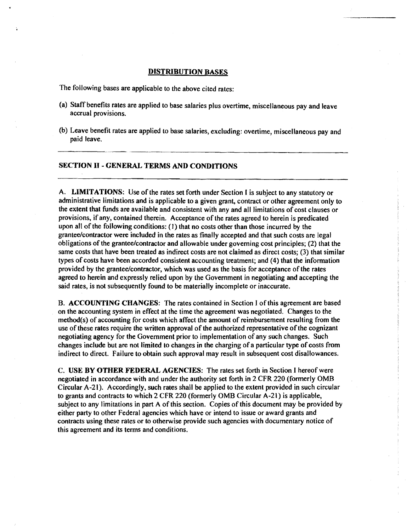#### DISTRIBUTION BASES

The following bases are applicable to the above cited rates:

- (a) Staff benefits rates are applied to base salaries plus overtime, miscellaneous pay and leave accrual provisions.
- (b) Leave benefit rates are applied to base salaries, excluding: overtime, miscellaneous pay and paid leave.

### SECTION II - GENERAL TERMS AND CONDITIONS

A. LIMITATIONS: Use of the rates set forth under Section I is subject to any statutory or administrative limitations and is applicable to a given grant, contract or other agreement only to the extent that funds are available and consistent with any and all limitations of cost clauses or provisions, if any, contained therein. Acceptance of the rates agreed to herein is predicated upon all of the following conditions: (J) that no costs other than those incurred by the grantee/contractor were included in the rates as finally accepted and that such costs are legal obligations of the grantee/contractor and allowable under governing cost principles; (2) that the same costs that have been treated as indirect costs are not claimed as direct costs; (3) that similar types of costs have been accorded consistent accounting treatment; and (4) that the information provided by the grantee/contractor, which was used as the basis for acceptance of the rates agreed to herein and expressly relied upon by the Government in negotiating and accepting the said rates, is not subsequently found to be materially incomplete or inaccurate.

B. ACCOUNTING CHANGES: The rates contained in Section I of this agreement are based on the accounting system in effect at the time the agreement was negotiated. Changes to the method(s) of accounting for costs which affect the amount of reimbursement resulting from the use of these rates require the written approval of the authorized representative of the cognizant negotiating agency for the Government prior to implementation of any such changes. Such changes include but are not limited to changes in the charging of a particular type of costs from indirect to direct. Failure to obtain such approval may result in subsequent cost disallowances.

C. USE BY OTHER FEDERAL AGENCIES: The rates set forth in Section I hereof were negotiated in accordance with and under the authority set forth in 2 CFR 220 (formerly OMB Circular A-21). Accordingly, such rates shall be applied to the extent provided in such circular to grants and contracts to which 2 CFR 220 (formerly OMB Circular A·21) is applicable, subject to any limitations in part A of this section. Copies of this document may be provided by either party to other Federal agencies which have or intend to issue or award grants and contracts using these rates or to otherwise provide such agencies with documentary notice of this agreement and its terms and conditions.